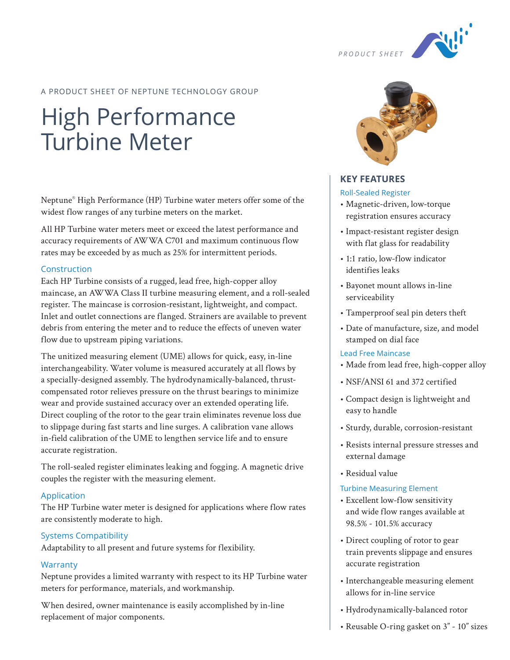

## A PRODUCT SHEET OF NEPTUNE TECHNOLOGY GROUP

# High Performance Turbine Meter

Neptune® High Performance (HP) Turbine water meters offer some of the widest flow ranges of any turbine meters on the market.

All HP Turbine water meters meet or exceed the latest performance and accuracy requirements of AWWA C701 and maximum continuous flow rates may be exceeded by as much as 25% for intermittent periods.

#### Construction

Each HP Turbine consists of a rugged, lead free, high-copper alloy maincase, an AWWA Class II turbine measuring element, and a roll-sealed register. The maincase is corrosion-resistant, lightweight, and compact. Inlet and outlet connections are flanged. Strainers are available to prevent debris from entering the meter and to reduce the effects of uneven water flow due to upstream piping variations.

The unitized measuring element (UME) allows for quick, easy, in-line interchangeability. Water volume is measured accurately at all flows by a specially-designed assembly. The hydrodynamically-balanced, thrustcompensated rotor relieves pressure on the thrust bearings to minimize wear and provide sustained accuracy over an extended operating life. Direct coupling of the rotor to the gear train eliminates revenue loss due to slippage during fast starts and line surges. A calibration vane allows in-field calibration of the UME to lengthen service life and to ensure accurate registration.

The roll-sealed register eliminates leaking and fogging. A magnetic drive couples the register with the measuring element.

## Application

The HP Turbine water meter is designed for applications where flow rates are consistently moderate to high.

## Systems Compatibility

Adaptability to all present and future systems for flexibility.

## **Warranty**

Neptune provides a limited warranty with respect to its HP Turbine water meters for performance, materials, and workmanship.

When desired, owner maintenance is easily accomplished by in-line replacement of major components.



## **KEY FEATURES**

#### Roll-Sealed Register

- Magnetic-driven, low-torque registration ensures accuracy
- Impact-resistant register design with flat glass for readability
- 1:1 ratio, low-flow indicator identifies leaks
- Bayonet mount allows in-line serviceability
- Tamperproof seal pin deters theft
- Date of manufacture, size, and model stamped on dial face

#### Lead Free Maincase

- Made from lead free, high-copper alloy
- NSF/ANSI 61 and 372 certified
- Compact design is lightweight and easy to handle
- Sturdy, durable, corrosion-resistant
- Resists internal pressure stresses and external damage
- Residual value

#### Turbine Measuring Element

- Excellent low-flow sensitivity and wide flow ranges available at 98.5% - 101.5% accuracy
- Direct coupling of rotor to gear train prevents slippage and ensures accurate registration
- Interchangeable measuring element allows for in-line service
- Hydrodynamically-balanced rotor
- Reusable O-ring gasket on 3" 10" sizes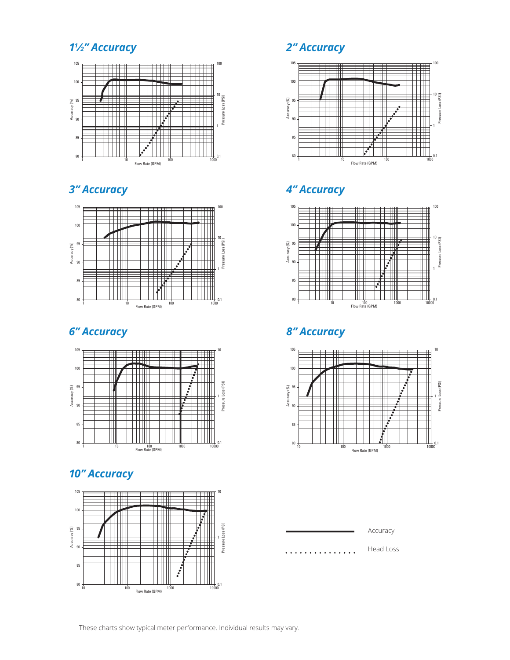## *⁄2" Accuracy 2" Accuracy*







## *10" Accuracy*





## *3" Accuracy 4" Accuracy*



## *6" Accuracy 8" Accuracy*



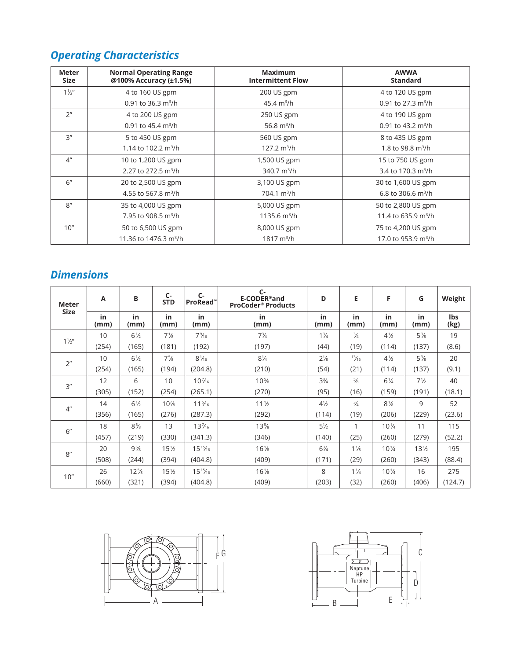## *Operating Characteristics*

| <b>Meter</b><br><b>Size</b> | <b>Normal Operating Range</b><br>@100% Accuracy (±1.5%) | <b>Maximum</b><br><b>Intermittent Flow</b> | <b>AWWA</b><br><b>Standard</b>     |
|-----------------------------|---------------------------------------------------------|--------------------------------------------|------------------------------------|
| $1\frac{1}{2}$              | 4 to 160 US gpm                                         | 200 US gpm                                 | 4 to 120 US gpm                    |
|                             | 0.91 to 36.3 $m^3/h$                                    | 45.4 $m^3/h$                               | 0.91 to 27.3 $m^3/h$               |
| 2 <sup>n</sup>              | 4 to 200 US gpm                                         | 250 US gpm                                 | 4 to 190 US gpm                    |
|                             | 0.91 to 45.4 $\text{m}^3/\text{h}$                      | 56.8 $m^3/h$                               | 0.91 to 43.2 $\text{m}^3/\text{h}$ |
| 3''                         | 5 to 450 US gpm                                         | 560 US gpm                                 | 8 to 435 US gpm                    |
|                             | 1.14 to 102.2 m <sup>3</sup> /h                         | $127.2 \text{ m}^3/h$                      | 1.8 to 98.8 m <sup>3</sup> /h      |
| 4 <sup>''</sup>             | 10 to 1,200 US gpm                                      | 1,500 US gpm                               | 15 to 750 US gpm                   |
|                             | 2.27 to 272.5 $m^3/h$                                   | 340.7 $m^3/h$                              | 3.4 to 170.3 m <sup>3</sup> /h     |
| 6"                          | 20 to 2,500 US gpm                                      | 3,100 US gpm                               | 30 to 1,600 US gpm                 |
|                             | 4.55 to 567.8 m <sup>3</sup> /h                         | $704.1 \text{ m}^3/h$                      | 6.8 to 306.6 $m^3/h$               |
| 8''                         | 35 to 4,000 US gpm                                      | 5,000 US gpm                               | 50 to 2,800 US gpm                 |
|                             | 7.95 to 908.5 $m^3/h$                                   | 1135.6 $m^3/h$                             | 11.4 to 635.9 m <sup>3</sup> /h    |
| 10''                        | 50 to 6,500 US gpm                                      | 8,000 US gpm                               | 75 to 4,200 US gpm                 |
|                             | 11.36 to 1476.3 m <sup>3</sup> /h                       | $1817 \text{ m}^3/h$                       | 17.0 to 953.9 m <sup>3</sup> /h    |

## *Dimensions*

| Meter<br><b>Size</b> | A          | B               | $C -$<br><b>STD</b> | $C -$<br>ProRead™ | $C-$<br>E-CODER®and<br><b>ProCoder<sup>®</sup> Products</b> | D              | E               | F               | G               | Weight      |
|----------------------|------------|-----------------|---------------------|-------------------|-------------------------------------------------------------|----------------|-----------------|-----------------|-----------------|-------------|
|                      | in<br>(mm) | in<br>(mm)      | in<br>(mm)          | in<br>(mm)        | in<br>(mm)                                                  | in<br>(mm)     | in<br>(mm)      | in<br>(mm)      | in<br>(mm)      | lbs<br>(kg) |
| $1\frac{1}{2}$       | 10         | $6\frac{1}{2}$  | $7\frac{1}{8}$      | $7\frac{9}{16}$   | $7\frac{3}{4}$                                              | $1\frac{3}{4}$ | $\frac{3}{4}$   | $4\frac{1}{2}$  | $5\frac{3}{8}$  | 19          |
|                      | (254)      | (165)           | (181)               | (192)             | (197)                                                       | (44)           | (19)            | (114)           | (137)           | (8.6)       |
| 2 <sup>n</sup>       | 10         | $6\frac{1}{2}$  | $7\frac{5}{8}$      | $8\frac{1}{16}$   | $8\frac{1}{4}$                                              | $2\frac{1}{8}$ | $\frac{13}{16}$ | $4\frac{1}{2}$  | $5\frac{3}{8}$  | 20          |
|                      | (254)      | (165)           | (194)               | (204.8)           | (210)                                                       | (54)           | (21)            | (114)           | (137)           | (9.1)       |
| 3''                  | 12         | 6               | 10                  | $10\frac{7}{16}$  | $10\%$                                                      | $3\frac{3}{4}$ | $\frac{5}{8}$   | $6\frac{1}{4}$  | $7\frac{1}{2}$  | 40          |
|                      | (305)      | (152)           | (254)               | (265.1)           | (270)                                                       | (95)           | (16)            | (159)           | (191)           | (18.1)      |
| 4 <sup>n</sup>       | 14         | $6\frac{1}{2}$  | $10\%$              | $11\frac{5}{16}$  | $11\frac{1}{2}$                                             | $4\frac{1}{2}$ | $\frac{3}{4}$   | $8\frac{1}{8}$  | 9               | 52          |
|                      | (356)      | (165)           | (276)               | (287.3)           | (292)                                                       | (114)          | (19)            | (206)           | (229)           | (23.6)      |
| 6"                   | 18         | $8\frac{5}{8}$  | 13                  | $13\frac{7}{16}$  | $13\%$                                                      | $5\frac{1}{2}$ | 1               | $10\frac{1}{4}$ | 11              | 115         |
|                      | (457)      | (219)           | (330)               | (341.3)           | (346)                                                       | (140)          | (25)            | (260)           | (279)           | (52.2)      |
| 8''                  | 20         | $9\frac{5}{8}$  | $15\frac{1}{2}$     | $15^{15}/_{16}$   | $16\%$                                                      | $6\frac{3}{4}$ | $1\frac{1}{8}$  | $10\frac{1}{4}$ | $13\frac{1}{2}$ | 195         |
|                      | (508)      | (244)           | (394)               | (404.8)           | (409)                                                       | (171)          | (29)            | (260)           | (343)           | (88.4)      |
| 10"                  | 26         | $12\frac{5}{8}$ | $15\frac{1}{2}$     | $15^{15}/_{16}$   | $16\frac{1}{8}$                                             | 8              | $1\frac{1}{4}$  | $10\frac{1}{4}$ | 16              | 275         |
|                      | (660)      | (321)           | (394)               | (404.8)           | (409)                                                       | (203)          | (32)            | (260)           | (406)           | (124.7)     |